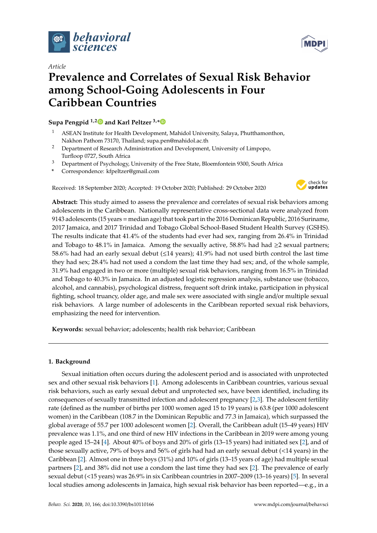

# *Article*

# **Prevalence and Correlates of Sexual Risk Behavior among School-Going Adolescents in Four Caribbean Countries**

**Supa Pengpid 1,[2](https://orcid.org/0000-0002-7714-8869) and Karl Peltzer 3,[\\*](https://orcid.org/0000-0002-5980-0876)**

- <sup>1</sup> ASEAN Institute for Health Development, Mahidol University, Salaya, Phutthamonthon, Nakhon Pathom 73170, Thailand; supa.pen@mahidol.ac.th
- <sup>2</sup> Department of Research Administration and Development, University of Limpopo, Turfloop 0727, South Africa
- <sup>3</sup> Department of Psychology, University of the Free State, Bloemfontein 9300, South Africa
- **\*** Correspondence: kfpeltzer@gmail.com

Received: 18 September 2020; Accepted: 19 October 2020; Published: 29 October 2020



**Abstract:** This study aimed to assess the prevalence and correlates of sexual risk behaviors among adolescents in the Caribbean. Nationally representative cross-sectional data were analyzed from 9143 adolescents (15 years = median age) that took part in the 2016 Dominican Republic, 2016 Suriname, 2017 Jamaica, and 2017 Trinidad and Tobago Global School-Based Student Health Survey (GSHS). The results indicate that 41.4% of the students had ever had sex, ranging from 26.4% in Trinidad and Tobago to 48.1% in Jamaica. Among the sexually active, 58.8% had had  $\geq$ 2 sexual partners; 58.6% had had an early sexual debut (≤14 years); 41.9% had not used birth control the last time they had sex; 28.4% had not used a condom the last time they had sex; and, of the whole sample, 31.9% had engaged in two or more (multiple) sexual risk behaviors, ranging from 16.5% in Trinidad and Tobago to 40.3% in Jamaica. In an adjusted logistic regression analysis, substance use (tobacco, alcohol, and cannabis), psychological distress, frequent soft drink intake, participation in physical fighting, school truancy, older age, and male sex were associated with single and/or multiple sexual risk behaviors. A large number of adolescents in the Caribbean reported sexual risk behaviors, emphasizing the need for intervention.

**Keywords:** sexual behavior; adolescents; health risk behavior; Caribbean

# **1. Background**

Sexual initiation often occurs during the adolescent period and is associated with unprotected sex and other sexual risk behaviors [\[1\]](#page-10-0). Among adolescents in Caribbean countries, various sexual risk behaviors, such as early sexual debut and unprotected sex, have been identified, including its consequences of sexually transmitted infection and adolescent pregnancy [\[2,](#page-10-1)[3\]](#page-10-2). The adolescent fertility rate (defined as the number of births per 1000 women aged 15 to 19 years) is 63.8 (per 1000 adolescent women) in the Caribbean (108.7 in the Dominican Republic and 77.3 in Jamaica), which surpassed the global average of 55.7 per 1000 adolescent women [\[2\]](#page-10-1). Overall, the Caribbean adult (15–49 years) HIV prevalence was 1.1%, and one third of new HIV infections in the Caribbean in 2019 were among young people aged 15–24 [\[4\]](#page-10-3). About 40% of boys and 20% of girls (13–15 years) had initiated sex [\[2\]](#page-10-1), and of those sexually active, 79% of boys and 56% of girls had had an early sexual debut (<14 years) in the Caribbean [\[2\]](#page-10-1). Almost one in three boys (31%) and 10% of girls (13–15 years of age) had multiple sexual partners [\[2\]](#page-10-1), and 38% did not use a condom the last time they had sex [\[2\]](#page-10-1). The prevalence of early sexual debut (<15 years) was 26.9% in six Caribbean countries in 2007–2009 (13–16 years) [\[5\]](#page-10-4). In several local studies among adolescents in Jamaica, high sexual risk behavior has been reported—e.g., in a



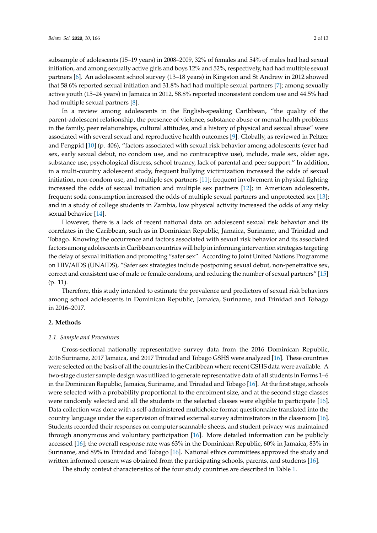subsample of adolescents (15–19 years) in 2008–2009, 32% of females and 54% of males had had sexual initiation, and among sexually active girls and boys 12% and 52%, respectively, had had multiple sexual partners [\[6\]](#page-10-5). An adolescent school survey (13–18 years) in Kingston and St Andrew in 2012 showed that 58.6% reported sexual initiation and 31.8% had had multiple sexual partners [\[7\]](#page-10-6); among sexually active youth (15–24 years) in Jamaica in 2012, 58.8% reported inconsistent condom use and 44.5% had had multiple sexual partners [\[8\]](#page-10-7).

In a review among adolescents in the English-speaking Caribbean, "the quality of the parent-adolescent relationship, the presence of violence, substance abuse or mental health problems in the family, peer relationships, cultural attitudes, and a history of physical and sexual abuse" were associated with several sexual and reproductive health outcomes [\[9\]](#page-10-8). Globally, as reviewed in Peltzer and Pengpid [\[10\]](#page-10-9) (p. 406), "factors associated with sexual risk behavior among adolescents (ever had sex, early sexual debut, no condom use, and no contraceptive use), include, male sex, older age, substance use, psychological distress, school truancy, lack of parental and peer support." In addition, in a multi-country adolescent study, frequent bullying victimization increased the odds of sexual initiation, non-condom use, and multiple sex partners [\[11\]](#page-10-10); frequent involvement in physical fighting increased the odds of sexual initiation and multiple sex partners [\[12\]](#page-10-11); in American adolescents, frequent soda consumption increased the odds of multiple sexual partners and unprotected sex [\[13\]](#page-10-12); and in a study of college students in Zambia, low physical activity increased the odds of any risky sexual behavior [\[14\]](#page-10-13).

However, there is a lack of recent national data on adolescent sexual risk behavior and its correlates in the Caribbean, such as in Dominican Republic, Jamaica, Suriname, and Trinidad and Tobago. Knowing the occurrence and factors associated with sexual risk behavior and its associated factors among adolescents in Caribbean countries will help in informing intervention strategies targeting the delay of sexual initiation and promoting "safer sex". According to Joint United Nations Programme on HIV/AIDS (UNAIDS), "Safer sex strategies include postponing sexual debut, non-penetrative sex, correct and consistent use of male or female condoms, and reducing the number of sexual partners" [\[15\]](#page-10-14) (p. 11).

Therefore, this study intended to estimate the prevalence and predictors of sexual risk behaviors among school adolescents in Dominican Republic, Jamaica, Suriname, and Trinidad and Tobago in 2016–2017.

## **2. Methods**

## *2.1. Sample and Procedures*

Cross-sectional nationally representative survey data from the 2016 Dominican Republic, 2016 Suriname, 2017 Jamaica, and 2017 Trinidad and Tobago GSHS were analyzed [\[16\]](#page-10-15). These countries were selected on the basis of all the countries in the Caribbean where recent GSHS data were available. A two-stage cluster sample design was utilized to generate representative data of all students in Forms 1–6 in the Dominican Republic, Jamaica, Suriname, and Trinidad and Tobago [\[16\]](#page-10-15). At the first stage, schools were selected with a probability proportional to the enrolment size, and at the second stage classes were randomly selected and all the students in the selected classes were eligible to participate [\[16\]](#page-10-15). Data collection was done with a self-administered multichoice format questionnaire translated into the country language under the supervision of trained external survey administrators in the classroom [\[16\]](#page-10-15). Students recorded their responses on computer scannable sheets, and student privacy was maintained through anonymous and voluntary participation [\[16\]](#page-10-15). More detailed information can be publicly accessed [\[16\]](#page-10-15); the overall response rate was 63% in the Dominican Republic, 60% in Jamaica, 83% in Suriname, and 89% in Trinidad and Tobago [\[16\]](#page-10-15). National ethics committees approved the study and written informed consent was obtained from the participating schools, parents, and students [\[16\]](#page-10-15).

The study context characteristics of the four study countries are described in Table [1.](#page-2-0)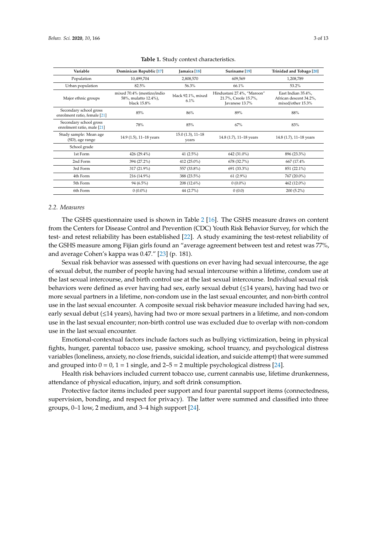<span id="page-2-0"></span>

| Variable                                               | Dominican Republic [17]                                           | Jamaica [18]                   | Suriname <sup>[19]</sup>                                             | Trinidad and Tobago [20]                                          |
|--------------------------------------------------------|-------------------------------------------------------------------|--------------------------------|----------------------------------------------------------------------|-------------------------------------------------------------------|
| Population                                             | 10,499,704                                                        | 2,808,570                      | 609,569                                                              | 1,208,789                                                         |
| Urban population                                       | 82.5%                                                             | 56.3%                          | 66.1%                                                                | 53.2%                                                             |
| Major ethnic groups                                    | mixed 70.4% (mestizo/indio<br>58%, mulatto 12.4%),<br>black 15.8% | black 92.1%, mixed<br>6.1%     | Hindustani 27.4%, "Maroon"<br>21.7%, Creole 15.7%,<br>Javanese 13.7% | East Indian 35.4%,<br>African descent 34.2%,<br>mixed/other 15.3% |
| Secondary school gross<br>enrolment ratio, female [21] | 85%                                                               | 86%                            | 89%                                                                  | 88%                                                               |
| Secondary school gross<br>enrolment ratio, male [21]   | 78%                                                               | 85%                            | 67%                                                                  | 83%                                                               |
| Study sample: Mean age<br>(SD), age range              | 14.9 (1.5), 11-18 years                                           | $15.0(1.3)$ , $11-18$<br>years | 14.8 (1.7), 11-18 years                                              | 14.8 (1.7), 11–18 years                                           |
| School grade                                           |                                                                   |                                |                                                                      |                                                                   |
| 1st Form                                               | 426 (29.4%)                                                       | 41 $(2.5\%)$                   | 642 (31.0%)                                                          | 896 (23.3%)                                                       |
| 2nd Form                                               | 394 (27.2%)                                                       | 412 (25.0%)                    | 678 (32.7%)                                                          | 667 (17.4%)                                                       |
| 3rd Form                                               | 317 (21.9%)                                                       | 557 (33.8%)                    | 691 (33.3%)                                                          | 851 (22.1%)                                                       |
| 4th Form                                               | 216 (14.9%)                                                       | 388 (23.5%)                    | $61(2.9\%)$                                                          | 767 (20.0%)                                                       |
| 5th Form                                               | 94 (6.5%)                                                         | 208 (12.6%)                    | $0(0.0\%)$                                                           | 462 (12.0%)                                                       |
| 6th Form                                               | $0(0.0\%)$                                                        | 44 (2.7%)                      | 0(0.0)                                                               | $200(5.2\%)$                                                      |

# *2.2. Measures*

The GSHS questionnaire used is shown in Table [2](#page-3-0) [\[16\]](#page-10-15). The GSHS measure draws on content from the Centers for Disease Control and Prevention (CDC) Youth Risk Behavior Survey, for which the test- and retest reliability has been established [\[22\]](#page-11-1). A study examining the test-retest reliability of the GSHS measure among Fijian girls found an "average agreement between test and retest was 77%, and average Cohen's kappa was 0.47." [\[23\]](#page-11-2) (p. 181).

Sexual risk behavior was assessed with questions on ever having had sexual intercourse, the age of sexual debut, the number of people having had sexual intercourse within a lifetime, condom use at the last sexual intercourse, and birth control use at the last sexual intercourse. Individual sexual risk behaviors were defined as ever having had sex, early sexual debut (≤14 years), having had two or more sexual partners in a lifetime, non-condom use in the last sexual encounter, and non-birth control use in the last sexual encounter. A composite sexual risk behavior measure included having had sex, early sexual debut (≤14 years), having had two or more sexual partners in a lifetime, and non-condom use in the last sexual encounter; non-birth control use was excluded due to overlap with non-condom use in the last sexual encounter.

Emotional-contextual factors include factors such as bullying victimization, being in physical fights, hunger, parental tobacco use, passive smoking, school truancy, and psychological distress variables (loneliness, anxiety, no close friends, suicidal ideation, and suicide attempt) that were summed and grouped into  $0 = 0$ ,  $1 = 1$  single, and  $2-5 = 2$  multiple psychological distress [\[24\]](#page-11-3).

Health risk behaviors included current tobacco use, current cannabis use, lifetime drunkenness, attendance of physical education, injury, and soft drink consumption.

Protective factor items included peer support and four parental support items (connectedness, supervision, bonding, and respect for privacy). The latter were summed and classified into three groups, 0–1 low, 2 medium, and 3–4 high support [\[24\]](#page-11-3).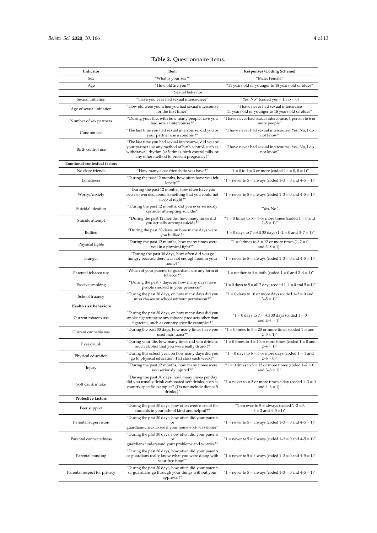<span id="page-3-0"></span>

| Indicator                    | Item                                                                                                                                                                                                                 | <b>Responses (Coding Scheme)</b>                                                          |  |  |
|------------------------------|----------------------------------------------------------------------------------------------------------------------------------------------------------------------------------------------------------------------|-------------------------------------------------------------------------------------------|--|--|
| Sex                          | "What is your sex?"                                                                                                                                                                                                  | "Male, Female"                                                                            |  |  |
| Age                          | "How old are you?"                                                                                                                                                                                                   | "11 years old or younger to 18 years old or older"                                        |  |  |
|                              | Sexual behavior                                                                                                                                                                                                      |                                                                                           |  |  |
| Sexual initiation            | "Have you ever had sexual intercourse?"                                                                                                                                                                              | "Yes, No" (coded yes $= 1$ , no $= 0$ )                                                   |  |  |
| Age of sexual initiation     | "How old were you when you had sexual intercourse<br>for the first time?"                                                                                                                                            | "I have never had sexual intercourse<br>11 years old or younger to 18 years old or older" |  |  |
| Number of sex partners       | "During your life, with how many people have you<br>had sexual intercourse?"                                                                                                                                         | "I have never had sexual intercourse, 1 person to 6 or<br>more people"                    |  |  |
| Condom use                   | "The last time you had sexual intercourse, did you or<br>your partner use a condom?"                                                                                                                                 | "I have never had sexual intercourse, Yes, No, I do<br>not know"                          |  |  |
| Birth control use            | "The last time you had sexual intercourse, did you or<br>your partner use any method of birth control, such as<br>withdrawal, rhythm (safe time), birth control pills, or<br>any other method to prevent pregnancy?" | "I have never had sexual intercourse, Yes, No, I do<br>not know"                          |  |  |
| Emotional-contextual factors |                                                                                                                                                                                                                      |                                                                                           |  |  |
| No close friends             | "How many close friends do you have?"                                                                                                                                                                                | " $1 = 0$ to $4 = 3$ or more (coded $1 + 1 = 0$ , $0 = 1$ )"                              |  |  |
| Loneliness                   | "During the past 12 months, how often have you felt<br>lonely?"                                                                                                                                                      | "1 = never to 5 = always (coded $1-3 = 0$ and $4-5 = 1$ )"                                |  |  |
| Worry/Anxiety                | "During the past 12 months, how often have you<br>been so worried about something that you could not<br>sleep at night?"                                                                                             | $"1$ = never to 5 =a lways (coded 1–3 = 0 and 4–5 = 1)"                                   |  |  |
| Suicidal ideation            | "During the past 12 months, did you ever seriously<br>consider attempting suicide?"                                                                                                                                  | "Yes, No"                                                                                 |  |  |
| Suicide attempt              | "During the past 12 months, how many times did<br>you actually attempt suicide?"                                                                                                                                     | " $1 = 0$ times to $5 = 6$ or more times (coded $1 = 0$ and<br>$2 - 5 = 1$ "              |  |  |
| Bullied                      | "During the past 30 days, on how many days were<br>you bullied?"                                                                                                                                                     | "1 = 0 days to 7 = All 30 days $(1-2 = 0 \text{ and } 3-7 = 1)$ "                         |  |  |
| Physical fights              | "During the past 12 months, how many times were<br>you in a physical fight?"                                                                                                                                         | " $1 = 0$ times to $8 = 12$ or more times $(1-2 = 0)$<br>and $3-8 = 1$ )"                 |  |  |
| Hunger                       | "During the past 30 days, how often did you go<br>hungry because there was not enough food in your<br>home?"                                                                                                         | $"1 =$ never to 5 = always (coded 1–3 = 0 and 4–5 = 1)"                                   |  |  |
| Parental tobacco use         | "Which of your parents or guardians use any form of<br>tobacco?"                                                                                                                                                     | $"1$ = neither to $4$ = both (coded $1 = 0$ and $2-4 = 1"$                                |  |  |
| Passive smoking              | "During the past 7 days, on how many days have<br>people smoked in your presence?"                                                                                                                                   | $"1 = 0$ days to 5 = all 7 days (coded $1 - 4 = 0$ and $5 = 1"$                           |  |  |
| School truancy               | "During the past 30 days, on how many days did you<br>miss classes or school without permission?"                                                                                                                    | " $1 = 0$ days to 10 or more days (coded $1-2 = 0$ and<br>$3 - 5 = 1$ "                   |  |  |
| Health risk behaviors        |                                                                                                                                                                                                                      |                                                                                           |  |  |
| Current tobacco use          | "During the past 30 days, on how many days did you<br>smoke cigarettes/use any tobacco products other than<br>cigarettes, such as country specific examples?"                                                        | " $1 = 0$ days to $7 =$ All 30 days (coded $1 = 0$<br>and $2-7 = 1$ "                     |  |  |
| Current cannabis use         | "During the past 30 days, how many times have you<br>used marijuana?"                                                                                                                                                | $"1 = 0$ times to $5 = 20$ or more times (coded $1 =$ and<br>$2 - 5 = 1$ "                |  |  |
| Ever drunk                   | "During your life, how many times did you drink so<br>much alcohol that you were really drunk?"                                                                                                                      | $1 = 0$ times to $4 = 10$ or more times (coded $1 = 0$ and<br>$2-4=1$ <sup>"</sup>        |  |  |
| Physical education           | "During this school year, on how many days did you<br>go to physical education (PE) class each week?"                                                                                                                | $"1 = 0$ days to $6 = 5$ or more days (coded $1 = 1$ and<br>$2 - 6 = 0$ <sup>"</sup>      |  |  |
| Injury                       | "During the past 12 months, how many times were<br>you seriously injured?"                                                                                                                                           | " $1 = 0$ times to $8 = 12$ or more times (coded $1-2 = 0$<br>and $3-8 = 1$ "             |  |  |
| Soft drink intake            | "During the past 30 days, how many times per day<br>did you usually drink carbonated soft drinks, such as<br>country specific examples? (Do not include diet soft<br>drinks.)"                                       | $''1$ = never to = 5 or more times a day (coded $1-3=0$<br>and $4-6 = 1$ "                |  |  |
| <b>Protective factors</b>    |                                                                                                                                                                                                                      |                                                                                           |  |  |
| Peer support                 | "During the past 30 days, how often were most of the<br>students in your school kind and helpful?"                                                                                                                   | "1 = n ever to $5$ = always (coded $1-2=0$ ,<br>$3 = 2$ and $4 - 5 = 1$ "                 |  |  |
| Parental supervision         | "During the past 30 days, how often did your parents                                                                                                                                                                 | "1 = never to 5 = always (coded $1-3 = 0$ and $4-5 = 1$ )"                                |  |  |
|                              | guardians check to see if your homework was done?"<br>"During the past 30 days, how often did your parents                                                                                                           |                                                                                           |  |  |
| Parental connectedness       | guardians understand your problems and worries?"                                                                                                                                                                     | "1 = never to $5$ = always (coded $1-3 = 0$ and $4-5 = 1$ )"                              |  |  |
| Parental bonding             | "During the past 30 days, how often did your parents<br>or guardians really know what you were doing with<br>your free time?"                                                                                        | $"1$ = never to 5 = always (coded 1–3 = 0 and 4–5 = 1)"                                   |  |  |
| Parental respect for privacy | "During the past 30 days, how often did your parents<br>or guardians go through your things without your<br>approval?"                                                                                               | $"1 =$ never to 5 = always (coded 1–3 = 0 and 4–5 = 1)"                                   |  |  |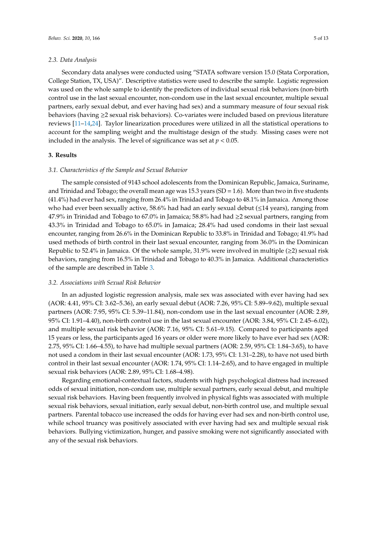Secondary data analyses were conducted using "STATA software version 15.0 (Stata Corporation, College Station, TX, USA)". Descriptive statistics were used to describe the sample. Logistic regression was used on the whole sample to identify the predictors of individual sexual risk behaviors (non-birth control use in the last sexual encounter, non-condom use in the last sexual encounter, multiple sexual partners, early sexual debut, and ever having had sex) and a summary measure of four sexual risk behaviors (having ≥2 sexual risk behaviors). Co-variates were included based on previous literature reviews [\[11–](#page-10-10)[14](#page-10-13)[,24\]](#page-11-3). Taylor linearization procedures were utilized in all the statistical operations to account for the sampling weight and the multistage design of the study. Missing cases were not included in the analysis. The level of significance was set at  $p < 0.05$ .

## **3. Results**

#### *3.1. Characteristics of the Sample and Sexual Behavior*

The sample consisted of 9143 school adolescents from the Dominican Republic, Jamaica, Suriname, and Trinidad and Tobago; the overall mean age was  $15.3$  years (SD = 1.6). More than two in five students (41.4%) had ever had sex, ranging from 26.4% in Trinidad and Tobago to 48.1% in Jamaica. Among those who had ever been sexually active, 58.6% had had an early sexual debut (≤14 years), ranging from 47.9% in Trinidad and Tobago to 67.0% in Jamaica; 58.8% had had ≥2 sexual partners, ranging from 43.3% in Trinidad and Tobago to 65.0% in Jamaica; 28.4% had used condoms in their last sexual encounter, ranging from 26.6% in the Dominican Republic to 33.8% in Trinidad and Tobago; 41.9% had used methods of birth control in their last sexual encounter, ranging from 36.0% in the Dominican Republic to 52.4% in Jamaica. Of the whole sample, 31.9% were involved in multiple  $(\geq 2)$  sexual risk behaviors, ranging from 16.5% in Trinidad and Tobago to 40.3% in Jamaica. Additional characteristics of the sample are described in Table [3.](#page-5-0)

#### *3.2. Associations with Sexual Risk Behavior*

In an adjusted logistic regression analysis, male sex was associated with ever having had sex (AOR: 4.41, 95% CI: 3.62–5.36), an early sexual debut (AOR: 7.26, 95% CI: 5.89–9.62), multiple sexual partners (AOR: 7.95, 95% CI: 5.39–11.84), non-condom use in the last sexual encounter (AOR: 2.89, 95% CI: 1.91–4.40), non-birth control use in the last sexual encounter (AOR: 3.84, 95% CI: 2.45–6.02), and multiple sexual risk behavior (AOR: 7.16, 95% CI: 5.61–9.15). Compared to participants aged 15 years or less, the participants aged 16 years or older were more likely to have ever had sex (AOR: 2.75, 95% CI: 1.66–4.55), to have had multiple sexual partners (AOR: 2.59, 95% CI: 1.84–3.65), to have not used a condom in their last sexual encounter (AOR: 1.73, 95% CI: 1.31–2.28), to have not used birth control in their last sexual encounter (AOR: 1.74, 95% CI: 1.14–2.65), and to have engaged in multiple sexual risk behaviors (AOR: 2.89, 95% CI: 1.68–4.98).

Regarding emotional-contextual factors, students with high psychological distress had increased odds of sexual initiation, non-condom use, multiple sexual partners, early sexual debut, and multiple sexual risk behaviors. Having been frequently involved in physical fights was associated with multiple sexual risk behaviors, sexual initiation, early sexual debut, non-birth control use, and multiple sexual partners. Parental tobacco use increased the odds for having ever had sex and non-birth control use, while school truancy was positively associated with ever having had sex and multiple sexual risk behaviors. Bullying victimization, hunger, and passive smoking were not significantly associated with any of the sexual risk behaviors.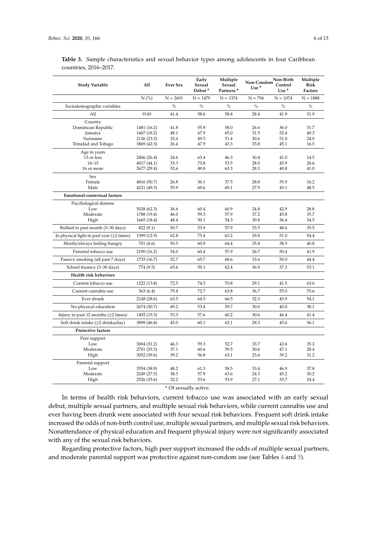<span id="page-5-0"></span>

| Study Variable                                  | All                        | <b>Ever Sex</b> | Early<br>Sexual<br>Debut <sup>a</sup> | Multiple<br>Sexual<br>Partners <sup>a</sup> | Use <sup>a</sup> | Non-Condom $\overline{\phantom{a}}$ Non-Birth<br>Use <sup>a</sup> | Multiple<br>Risk<br><b>Factors</b> |
|-------------------------------------------------|----------------------------|-----------------|---------------------------------------|---------------------------------------------|------------------|-------------------------------------------------------------------|------------------------------------|
|                                                 | $N$ (%)                    | $N = 2691$      | $N = 1479$                            | $N = 1374$                                  | $N = 794$        | $N = 1074$                                                        | $N = 1888$                         |
| Sociodemographic variables                      |                            | $\frac{0}{0}$   | $\frac{0}{0}$                         | $\frac{0}{0}$                               | $\frac{0}{0}$    | $\frac{0}{0}$                                                     | $\%$                               |
| All                                             | 9143                       | 41.4            | 58.6                                  | 58.8                                        | 28.4             | 41.9                                                              | 31.9                               |
| Country                                         |                            |                 |                                       |                                             |                  |                                                                   |                                    |
| Dominican Republic                              | 1481 (16.2)                | 41.8            | 55.9                                  | 58.0                                        | 26.6             | 36.0                                                              | 31.7                               |
| <b>Jamaica</b><br>Suriname                      | 1667 (18.2)                | 48.1<br>32.6    | 67.9<br>49.5                          | 65.0<br>51.4                                | 31.5<br>30.6     | 52.4<br>51.0                                                      | 40.3<br>24.0                       |
| Trinidad and Tobago                             | 2126 (23.3)<br>3869 (42.3) | 26.4            | 47.9                                  | 43.3                                        | 33.8             | 45.1                                                              | 16.5                               |
| Age in years                                    |                            |                 |                                       |                                             |                  |                                                                   |                                    |
| 13 or less                                      | 2406 (26.4)                | 24.6            | 63.4                                  | 46.3                                        | 30.4             | 41.0                                                              | 14.5                               |
| $14 - 15$                                       | 4017 (44.1)                | 33.3            | 73.8                                  | 53.5                                        | 28.0             | 43.9                                                              | 26.6                               |
| 16 or more                                      | 2677 (29.4)                | 52.6            | 49.8                                  | 63.3                                        | 28.3             | 40.8                                                              | 41.0                               |
| Sex                                             |                            |                 |                                       |                                             |                  |                                                                   |                                    |
| Female<br>Male                                  | 4816 (50.7)                | 26.8<br>55.9    | 36.1<br>69.6                          | 37.5<br>69.1                                | 28.8<br>27.9     | 35.9                                                              | 16.2<br>48.5                       |
|                                                 | 4221 (49.3)                |                 |                                       |                                             |                  | 45.1                                                              |                                    |
| Emotional-contextual factors                    |                            |                 |                                       |                                             |                  |                                                                   |                                    |
| Psychological distress<br>Low                   | 5028 (62.3)                | 36.6            | 60.4                                  | 60.9                                        | 24.8             | 42.9                                                              | 28.8                               |
| Moderate                                        | 1788 (19.4)                | 46.0            | 59.3                                  | 57.9                                        | 37.2             | 45.8                                                              | 35.7                               |
| High                                            | 1665(18.4)                 | 48.4            | 50.1                                  | 54.3                                        | 30.8             | 36.4                                                              | 34.5                               |
| Bullied in past month (3–30 days)               | 822 (9.1)                  | 50.7            | 53.9                                  | 57.9                                        | 33.5             | 48.6                                                              | 35.5                               |
| In physical fight in past year $(\geq 2$ times) | 1399 (12.9)                | 62.8            | 75.4                                  | 63.2                                        | 29.8             | 51.0                                                              | 54.4                               |
| Mostly/always feeling hungry                    | 701 (4.6)                  | 50.5            | 60.9                                  | 64.4                                        | 35.4             | 38.5                                                              | 40.8                               |
| Parental tobacco use                            | 2190 (16.2)                | 54.0            | 60.4                                  | 57.9                                        | 26.7             | 50.4                                                              | 41.9                               |
| Passive smoking (all past 7 days)               | 1733 (16.7)                | 52.7            | 65.7                                  | 68.6                                        | 33.6             | 50.0                                                              | 44.4                               |
| School truancy (3–30 days)                      | 774 (9.5)                  | 65.6            | 59.1                                  | 62.4                                        | 36.9             | 37.3                                                              | 53.1                               |
| <b>Health risk behaviors</b>                    |                            |                 |                                       |                                             |                  |                                                                   |                                    |
| Current tobacco use                             | 1222 (13.8)                | 72.5            | 74.5                                  | 70.8                                        | 29.1             | 41.5                                                              | 63.6                               |
| Current cannabis use                            | 563 (6.4)                  | 79.4            | 72.7                                  | 63.8                                        | 36.7             | 55.0                                                              | 70.6                               |
| Ever drunk                                      | 2148 (28.6)                | 63.5            | 64.5                                  | 66.5                                        | 32.3             | 45.9                                                              | 54.1                               |
| No physical education                           | 2674 (30.7)                | 49.2            | 53.4                                  | 59.7                                        | 30.0             | 40.0                                                              | 38.1                               |
| Injury in past 12 months $(\geq 2$ times)       | 1492 (15.5)                | 53.3            | 57.6                                  | 60.2                                        | 30.6             | 46.4                                                              | 41.4                               |
| Soft drink intake $(\geq 2$ drinks/day)         | 3899 (46.8)                | 45.0            | 60.1                                  | 62.1                                        | 28.3             | 45.6                                                              | 36.1                               |
| <b>Protective factors</b>                       |                            |                 |                                       |                                             |                  |                                                                   |                                    |
| Peer support                                    |                            |                 |                                       |                                             |                  |                                                                   |                                    |
| Low                                             | 3004 (31.2)                | 46.3            | 59.3                                  | 52.7                                        | 33.7             | 42.6                                                              | 35.2                               |
| Moderate                                        | 2701 (29.3)                | 37.1            | 60.6                                  | 59.5                                        | 30.6             | 47.1                                                              | 28.4                               |
| High                                            | 3052 (39.6)                | 39.2            | 56.8                                  | 63.1                                        | 23.6             | 39.2                                                              | 31.2                               |
| Parental support                                |                            |                 |                                       |                                             |                  |                                                                   |                                    |
| Low<br>Moderate                                 | 3554 (38.9)<br>2249 (27.5) | 48.2<br>38.5    | 61.3<br>57.9                          | 58.5<br>63.6                                | 33.4<br>24.3     | 46.9<br>45.2                                                      | 37.8<br>30.2                       |
| High                                            | 2526 (33.6)                | 32.2            | 53.6                                  | 53.9                                        | 27.1             | 33.7                                                              | 24.4                               |

<sup>a</sup> Of sexually active.

In terms of health risk behaviors, current tobacco use was associated with an early sexual debut, multiple sexual partners, and multiple sexual risk behaviors, while current cannabis use and ever having been drunk were associated with four sexual risk behaviors. Frequent soft drink intake increased the odds of non-birth control use, multiple sexual partners, and multiple sexual risk behaviors. Nonattendance of physical education and frequent physical injury were not significantly associated with any of the sexual risk behaviors.

Regarding protective factors, high peer support increased the odds of multiple sexual partners, and moderate parental support was protective against non-condom use (see Tables [4](#page-6-0) and [5\)](#page-7-0).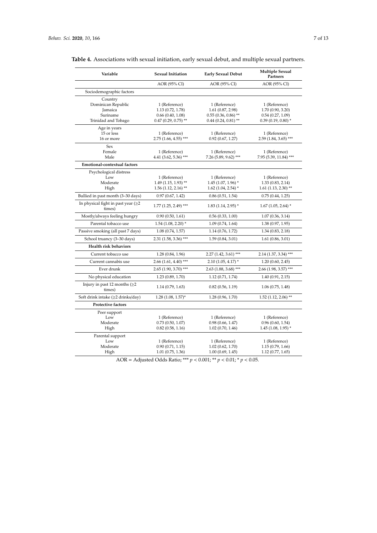| Variable                                        | <b>Sexual Initiation</b>                   | <b>Early Sexual Debut</b>                       | Multiple Sexual<br>Partners              |
|-------------------------------------------------|--------------------------------------------|-------------------------------------------------|------------------------------------------|
|                                                 | AOR (95% CI)                               | AOR (95% CI)                                    | AOR (95% CI)                             |
| Sociodemographic factors                        |                                            |                                                 |                                          |
| Country                                         |                                            |                                                 |                                          |
| Dominican Republic                              | 1 (Reference)                              | 1 (Reference)                                   | 1 (Reference)                            |
| Jamaica<br>Suriname                             | 1.13 (0.72, 1.78)                          | 1.61 (0.87, 2.98)                               | 1.70 (0.90, 3.20)                        |
| Trinidad and Tobago                             | 0.66(0.40, 1.08)<br>$0.47$ (0.29, 0.75) ** | $0.55(0.36, 0.86)$ **<br>$0.44$ (0.24, 0.81) ** | 0.54(0.27, 1.09)<br>$0.39(0.19, 0.80)$ * |
| Age in years                                    |                                            |                                                 |                                          |
| 15 or less                                      | 1 (Reference)                              | 1 (Reference)                                   | 1 (Reference)                            |
| 16 or more                                      | $2.75(1.66, 4.55)$ ***                     | $0.92$ $(0.67, 1.27)$                           | 2.59 (1.84, 3.65) ***                    |
| Sex                                             |                                            |                                                 |                                          |
| Female                                          | 1 (Reference)                              | 1 (Reference)                                   | 1 (Reference)                            |
| Male                                            | 4.41 (3.62, 5.36) ***                      | 7.26 (5.89, 9.62) ***                           | 7.95 (5.39, 11.84) ***                   |
| Emotional-contextual factors                    |                                            |                                                 |                                          |
| Psychological distress                          |                                            |                                                 |                                          |
| Low                                             | 1 (Reference)                              | 1 (Reference)                                   | 1 (Reference)                            |
| Moderate                                        | $1.49(1.15, 1.93)$ **                      | $1.45(1.07, 1.96)$ *                            | 1.33(0.83, 2.14)                         |
| High                                            | $1.56$ (1.12, 2.16) <sup>**</sup>          | $1.62$ (1.04, 2.54) $*$                         | $1.61$ (1.13, 2.30) <sup>**</sup>        |
| Bullied in past month (3-30 days)               | 0.97(0.67, 1.42)                           | 0.86(0.51, 1.54)                                | 0.75(0.44, 1.25)                         |
| In physical fight in past year $(≥2)$<br>times) | $1.77$ $(1.25, 2.49)$ ***                  | $1.83(1.14, 2.95)$ *                            | $1.67$ (1.05, 2.64) $*$                  |
| Mostly/always feeling hungry                    | 0.90(0.50, 1.61)                           | 0.56(0.33, 1.00)                                | 1.07(0.36, 3.14)                         |
| Parental tobacco use                            | $1.54$ (1.08, 2.20) $*$                    | 1.09(0.74, 1.64)                                | 1.38(0.97, 1.95)                         |
| Passive smoking (all past 7 days)               | 1.08(0.74, 1.57)                           | 1.14 (0.76, 1.72)                               | 1.34(0.83, 2.18)                         |
| School truancy (3-30 days)                      | 2.31 (1.58, 3.36) ***                      | 1.59(0.84, 3.01)                                | 1.61(0.86, 3.01)                         |
| <b>Health risk behaviors</b>                    |                                            |                                                 |                                          |
| Current tobacco use                             | 1.28 (0.84, 1.96)                          | 2.27 (1.42, 3.61) ***                           | 2.14 (1.37, 3.34) ***                    |
| Current cannabis use                            | $2.66$ (1.61, 4.40) ***                    | $2.10(1.05, 4.17)$ *                            | 1.20(0.60, 2.45)                         |
| Ever drunk                                      | $2.65(1.90, 3.70)$ ***                     | 2.63 (1.88, 3.68) ***                           | $2.66$ (1.98, 3.57) ***                  |
| No physical education                           | 1.23(0.89, 1.70)                           | 1.12(0.71, 1.74)                                | 1.40(0.91, 2.15)                         |
| Injury in past 12 months ( $\geq$ 2<br>times)   | 1.14(0.79, 1.63)                           | 0.82(0.56, 1.19)                                | 1.06(0.75, 1.48)                         |
| Soft drink intake (≥2 drinks/day)               | $1.28$ (1.08, 1.57) <sup>*</sup>           | 1.28 (0.96, 1.70)                               | $1.52$ (1.12, 2.06) <sup>**</sup>        |
| Protective factors                              |                                            |                                                 |                                          |
| Peer support                                    |                                            |                                                 |                                          |
| Low                                             | 1 (Reference)                              | 1 (Reference)                                   | 1 (Reference)                            |
| Moderate                                        | 0.73(0.50, 1.07)                           | 0.98(0.66, 1.47)                                | 0.96(0.60, 1.54)                         |
| High                                            | 0.82(0.58, 1.16)                           | $1.02$ (0.70, 1.46)                             | $1.45(1.08, 1.95)$ *                     |
| Parental support                                |                                            |                                                 |                                          |
| Low                                             | 1 (Reference)                              | 1 (Reference)                                   | 1 (Reference)                            |
| Moderate                                        | 0.90(0.71, 1.15)                           | 1.02 (0.62, 1.70)                               | 1.15(0.79, 1.66)                         |
| High                                            | 1.01(0.75, 1.36)                           | 1.00(0.69, 1.45)                                | 1.12(0.77, 1.65)                         |

# <span id="page-6-0"></span>**Table 4.** Associations with sexual initiation, early sexual debut, and multiple sexual partners.

AOR = Adjusted Odds Ratio; \*\*\* *p* < 0.001; \*\* *p* < 0.01; \* *p* < 0.05.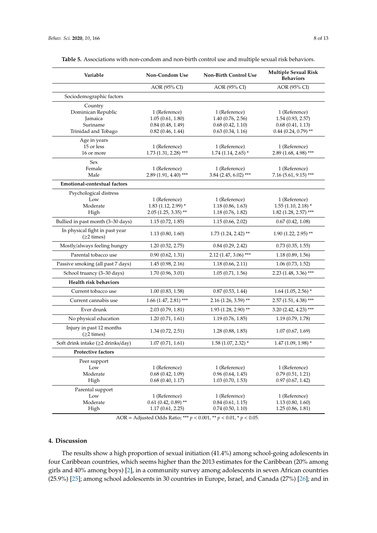| Variable                                             | Non-Condom Use                             | <b>Non-Birth Control Use</b>           | <b>Multiple Sexual Risk</b><br><b>Behaviors</b> |
|------------------------------------------------------|--------------------------------------------|----------------------------------------|-------------------------------------------------|
|                                                      | AOR (95% CI)                               | AOR (95% CI)                           | AOR (95% CI)                                    |
| Sociodemographic factors                             |                                            |                                        |                                                 |
| Country                                              |                                            |                                        |                                                 |
| Dominican Republic                                   | 1 (Reference)                              | 1 (Reference)                          | 1 (Reference)                                   |
| Jamaica                                              | 1.05(0.61, 1.80)                           | 1.40(0.76, 2.56)                       | 1.54(0.93, 2.57)                                |
| Suriname                                             | $0.84$ $(0.48, 1.49)$<br>0.82(0.46, 1.44)  | 0.68(0.42, 1.10)<br>0.63(0.34, 1.16)   | 0.68(0.41, 1.13)                                |
| Trinidad and Tobago                                  |                                            |                                        | $0.44$ (0.24, 0.79) **                          |
| Age in years<br>15 or less                           |                                            |                                        | 1 (Reference)                                   |
| 16 or more                                           | 1 (Reference)<br>$1.73$ $(1.31, 2.28)$ *** | 1 (Reference)<br>$1.74$ (1.14, 2.65) * | $2.89(1.68, 4.98)$ ***                          |
|                                                      |                                            |                                        |                                                 |
| Sex<br>Female                                        | 1 (Reference)                              | 1 (Reference)                          | 1 (Reference)                                   |
| Male                                                 | $2.89(1.91, 4.40)$ ***                     | $3.84$ (2.45, 6.02) ***                | $7.16$ (5.61, 9.15) ***                         |
| Emotional-contextual factors                         |                                            |                                        |                                                 |
|                                                      |                                            |                                        |                                                 |
| Psychological distress<br>Low                        | 1 (Reference)                              | 1 (Reference)                          | 1 (Reference)                                   |
| Moderate                                             | $1.83$ (1.12, 2.99) *                      | 1.18(0.86, 1.63)                       | $1.55(1.10, 2.18)$ *                            |
| High                                                 | $2.05$ (1.25, 3.35) **                     | 1.18(0.76, 1.82)                       | $1.82$ (1.28, 2.57) ***                         |
| Bullied in past month (3-30 days)                    | 1.15(0.72, 1.85)                           | 1.15(0.66, 2.02)                       | 0.67(0.42, 1.08)                                |
| In physical fight in past year<br>$(≥2 \times)$      | 1.13(0.80, 1.60)                           | $1.73$ (1.24, 2.42) <sup>**</sup>      | $1.90(1.22, 2.95)$ **                           |
| Mostly/always feeling hungry                         | 1.20(0.52, 2.75)                           | 0.84(0.29, 2.42)                       | 0.73(0.35, 1.55)                                |
| Parental tobacco use                                 | 0.90(0.62, 1.31)                           | $2.12$ (1.47, 3.06) ***                | 1.18(0.89, 1.56)                                |
| Passive smoking (all past 7 days)                    | 1.45(0.98, 2.16)                           | 1.18(0.66, 2.11)                       | 1.06(0.73, 1.52)                                |
| School truancy (3-30 days)                           | 1.70(0.96, 3.01)                           | 1.05(0.71, 1.56)                       | $2.23$ (1.48, 3.36) ***                         |
| Health risk behaviors                                |                                            |                                        |                                                 |
| Current tobacco use                                  | 1.00(0.83, 1.58)                           | 0.87(0.53, 1.44)                       | $1.64$ (1.05, 2.56) $*$                         |
| Current cannabis use                                 | $1.66$ (1.47, 2.81) ***                    | $2.16$ (1.26, 3.59) **                 | $2.57$ $(1.51, 4.38)$ ***                       |
| Ever drunk                                           | 2.03(0.79, 1.81)                           | $1.93$ (1.28, 2.90) **                 | $3.20$ (2.42, 4.23) ***                         |
| No physical education                                | 1.20(0.71, 1.61)                           | 1.19(0.76, 1.85)                       | 1.19(0.79, 1.78)                                |
| Injury in past 12 months<br>$(\geq 2 \text{ times})$ | 1.34(0.72, 2.51)                           | 1.28(0.88, 1.85)                       | 1.07(0.67, 1.69)                                |
| Soft drink intake ( $\geq$ 2 drinks/day)             | 1.07(0.71, 1.61)                           | $1.58$ (1.07, 2.32) *                  | $1.47$ (1.09, 1.98) *                           |
| Protective factors                                   |                                            |                                        |                                                 |
| Peer support                                         |                                            |                                        |                                                 |
| Low                                                  | 1 (Reference)                              | 1 (Reference)                          | 1 (Reference)                                   |
| Moderate                                             | 0.68(0.42, 1.09)                           | 0.96(0.64, 1.45)                       | 0.79(0.51, 1.21)                                |
| High                                                 | 0.68(0.40, 1.17)                           | 1.03(0.70, 1.53)                       | 0.97(0.67, 1.42)                                |
| Parental support                                     |                                            |                                        |                                                 |
| Low                                                  | 1 (Reference)                              | 1 (Reference)                          | 1 (Reference)                                   |
| Moderate                                             | $0.61$ (0.42, 0.89) <sup>**</sup>          | 0.84(0.61, 1.15)                       | 1.13(0.80, 1.60)                                |
| High                                                 | 1.17(0.61, 2.25)                           | 0.74(0.50, 1.10)                       | 1.25(0.86, 1.81)                                |

<span id="page-7-0"></span>**Table 5.** Associations with non-condom and non-birth control use and multiple sexual risk behaviors.

AOR = Adjusted Odds Ratio; \*\*\* *p* < 0.001, \*\* *p* < 0.01, \* *p* < 0.05.

# **4. Discussion**

The results show a high proportion of sexual initiation (41.4%) among school-going adolescents in four Caribbean countries, which seems higher than the 2013 estimates for the Caribbean (20% among girls and 40% among boys) [\[2\]](#page-10-1), in a community survey among adolescents in seven African countries (25.9%) [\[25\]](#page-11-4); among school adolescents in 30 countries in Europe, Israel, and Canada (27%) [\[26\]](#page-11-5); and in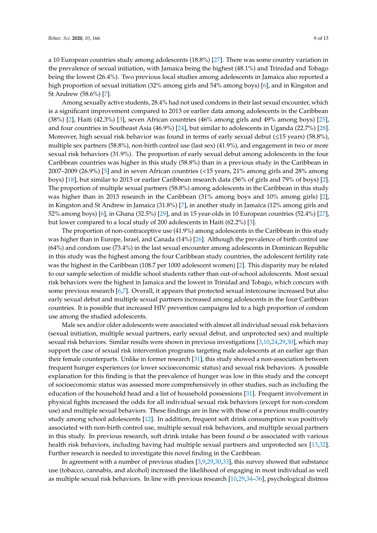a 10 European countries study among adolescents (18.8%) [\[27\]](#page-11-6). There was some country variation in the prevalence of sexual initiation, with Jamaica being the highest (48.1%) and Trinidad and Tobago being the lowest (26.4%). Two previous local studies among adolescents in Jamaica also reported a high proportion of sexual initiation (32% among girls and 54% among boys) [\[6\]](#page-10-5), and in Kingston and St Andrew (58.6%) [\[7\]](#page-10-6).

Among sexually active students, 28.4% had not used condoms in their last sexual encounter, which is a significant improvement compared to 2013 or earlier data among adolescents in the Caribbean (38%) [\[2\]](#page-10-1), Haiti (42.3%) [\[3\]](#page-10-2), seven African countries (46% among girls and 49% among boys) [\[25\]](#page-11-4), and four countries in Southeast Asia (46.9%) [\[24\]](#page-11-3), but similar to adolescents in Uganda (22.7%) [\[28\]](#page-11-7). Moreover, high sexual risk behavior was found in terms of early sexual debut ( $\leq$ 15 years) (58.8%), multiple sex partners (58.8%), non-birth control use (last sex) (41.9%), and engagement in two or more sexual risk behaviors (31.9%). The proportion of early sexual debut among adolescents in the four Caribbean countries was higher in this study (58.8%) than in a previous study in the Caribbean in 2007–2009 (26.9%) [\[5\]](#page-10-4) and in seven African countries (<15 years, 21% among girls and 28% among boys) [\[18\]](#page-10-17), but similar to 2013 or earlier Caribbean research data (56% of girls and 79% of boys) [\[2\]](#page-10-1). The proportion of multiple sexual partners (58.8%) among adolescents in the Caribbean in this study was higher than in 2013 research in the Caribbean (31% among boys and 10% among girls) [\[2\]](#page-10-1), in Kingston and St Andrew in Jamaica (31.8%) [\[7\]](#page-10-6), in another study in Jamaica (12% among girls and 52% among boys) [\[6\]](#page-10-5), in Ghana (32.5%) [\[29\]](#page-11-8), and in 15 year-olds in 10 European countries (52.4%) [\[27\]](#page-11-6), but lower compared to a local study of 200 adolescents in Haiti (62.2%) [\[3\]](#page-10-2).

The proportion of non-contraceptive use (41.9%) among adolescents in the Caribbean in this study was higher than in Europe, Israel, and Canada (14%) [\[26\]](#page-11-5). Although the prevalence of birth control use (64%) and condom use (73.4%) in the last sexual encounter among adolescents in Dominican Republic in this study was the highest among the four Caribbean study countries, the adolescent fertility rate was the highest in the Caribbean (108.7 per 1000 adolescent women) [\[2\]](#page-10-1). This disparity may be related to our sample selection of middle school students rather than out-of-school adolescents. Most sexual risk behaviors were the highest in Jamaica and the lowest in Trinidad and Tobago, which concurs with some previous research [\[6](#page-10-5)[,7\]](#page-10-6). Overall, it appears that protected sexual intercourse increased but also early sexual debut and multiple sexual partners increased among adolescents in the four Caribbean countries. It is possible that increased HIV prevention campaigns led to a high proportion of condom use among the studied adolescents.

Male sex and/or older adolescents were associated with almost all individual sexual risk behaviors (sexual initiation, multiple sexual partners, early sexual debut, and unprotected sex) and multiple sexual risk behaviors. Similar results were shown in previous investigations [\[3,](#page-10-2)[10](#page-10-9)[,24](#page-11-3)[,29](#page-11-8)[,30\]](#page-11-9), which may support the case of sexual risk intervention programs targeting male adolescents at an earlier age than their female counterparts. Unlike in former research [\[31\]](#page-11-10), this study showed a non-association between frequent hunger experiences (or lower socioeconomic status) and sexual risk behaviors. A possible explanation for this finding is that the prevalence of hunger was low in this study and the concept of socioeconomic status was assessed more comprehensively in other studies, such as including the education of the household head and a list of household possessions [\[31\]](#page-11-10). Frequent involvement in physical fights increased the odds for all individual sexual risk behaviors (except for non-condom use) and multiple sexual behaviors. These findings are in line with those of a previous multi-country study among school adolescents [\[12\]](#page-10-11). In addition, frequent soft drink consumption was positively associated with non-birth control use, multiple sexual risk behaviors, and multiple sexual partners in this study. In previous research, soft drink intake has been found o be associated with various health risk behaviors, including having had multiple sexual partners and unprotected sex [\[13,](#page-10-12)[32\]](#page-11-11). Further research is needed to investigate this novel finding in the Caribbean.

In agreement with a number of previous studies [\[3,](#page-10-2)[9,](#page-10-8)[29](#page-11-8)[,30](#page-11-9)[,33\]](#page-11-12), this survey showed that substance use (tobacco, cannabis, and alcohol) increased the likelihood of engaging in most individual as well as multiple sexual risk behaviors. In line with previous research [\[10,](#page-10-9)[29,](#page-11-8)[34–](#page-11-13)[36\]](#page-11-14), psychological distress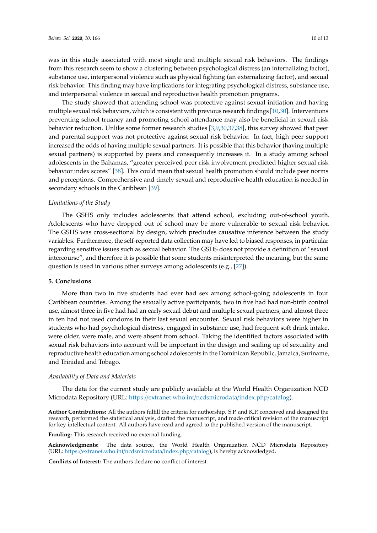was in this study associated with most single and multiple sexual risk behaviors. The findings from this research seem to show a clustering between psychological distress (an internalizing factor), substance use, interpersonal violence such as physical fighting (an externalizing factor), and sexual risk behavior. This finding may have implications for integrating psychological distress, substance use, and interpersonal violence in sexual and reproductive health promotion programs.

The study showed that attending school was protective against sexual initiation and having multiple sexual risk behaviors, which is consistent with previous research findings [\[10,](#page-10-9)[30\]](#page-11-9). Interventions preventing school truancy and promoting school attendance may also be beneficial in sexual risk behavior reduction. Unlike some former research studies [\[3,](#page-10-2)[9,](#page-10-8)[30,](#page-11-9)[37,](#page-11-15)[38\]](#page-12-0), this survey showed that peer and parental support was not protective against sexual risk behavior. In fact, high peer support increased the odds of having multiple sexual partners. It is possible that this behavior (having multiple sexual partners) is supported by peers and consequently increases it. In a study among school adolescents in the Bahamas, "greater perceived peer risk involvement predicted higher sexual risk behavior index scores" [\[38\]](#page-12-0). This could mean that sexual health promotion should include peer norms and perceptions. Comprehensive and timely sexual and reproductive health education is needed in secondary schools in the Caribbean [\[39\]](#page-12-1).

### *Limitations of the Study*

The GSHS only includes adolescents that attend school, excluding out-of-school youth. Adolescents who have dropped out of school may be more vulnerable to sexual risk behavior. The GSHS was cross-sectional by design, which precludes causative inference between the study variables. Furthermore, the self-reported data collection may have led to biased responses, in particular regarding sensitive issues such as sexual behavior. The GSHS does not provide a definition of "sexual intercourse", and therefore it is possible that some students misinterpreted the meaning, but the same question is used in various other surveys among adolescents (e.g., [\[27\]](#page-11-6)).

## **5. Conclusions**

More than two in five students had ever had sex among school-going adolescents in four Caribbean countries. Among the sexually active participants, two in five had had non-birth control use, almost three in five had had an early sexual debut and multiple sexual partners, and almost three in ten had not used condoms in their last sexual encounter. Sexual risk behaviors were higher in students who had psychological distress, engaged in substance use, had frequent soft drink intake, were older, were male, and were absent from school. Taking the identified factors associated with sexual risk behaviors into account will be important in the design and scaling up of sexuality and reproductive health education among school adolescents in the Dominican Republic, Jamaica, Suriname, and Trinidad and Tobago.

# *Availability of Data and Materials*

The data for the current study are publicly available at the World Health Organization NCD Microdata Repository (URL: https://[extranet.who.int](https://extranet.who.int/ncdsmicrodata/index.php/catalog)/ncdsmicrodata/index.php/catalog).

**Author Contributions:** All the authors fulfill the criteria for authorship. S.P. and K.P. conceived and designed the research, performed the statistical analysis, drafted the manuscript, and made critical revision of the manuscript for key intellectual content. All authors have read and agreed to the published version of the manuscript.

**Funding:** This research received no external funding.

**Acknowledgments:** The data source, the World Health Organization NCD Microdata Repository (URL: https://[extranet.who.int](https://extranet.who.int/ncdsmicrodata/index.php/catalog)/ncdsmicrodata/index.php/catalog), is hereby acknowledged.

**Conflicts of Interest:** The authors declare no conflict of interest.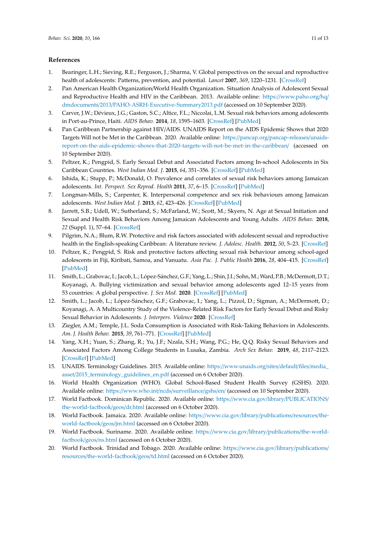## **References**

- <span id="page-10-0"></span>1. Bearinger, L.H.; Sieving, R.E.; Ferguson, J.; Sharma, V. Global perspectives on the sexual and reproductive health of adolescents: Patterns, prevention, and potential. *Lancet* **2007**, *369*, 1220–1231. [\[CrossRef\]](http://dx.doi.org/10.1016/S0140-6736(07)60367-5)
- <span id="page-10-1"></span>2. Pan American Health Organization/World Health Organization. Situation Analysis of Adolescent Sexual and Reproductive Health and HIV in the Caribbean. 2013. Available online: https://[www.paho.org](https://www.paho.org/hq/dmdocuments/2013/PAHO-ASRH-Executive-Summary2013.pdf)/hq/ dmdocuments/2013/[PAHO-ASRH-Executive-Summary2013.pdf](https://www.paho.org/hq/dmdocuments/2013/PAHO-ASRH-Executive-Summary2013.pdf) (accessed on 10 September 2020).
- <span id="page-10-2"></span>3. Carver, J.W.; Dévieux, J.G.; Gaston, S.C.; Altice, F.L.; Niccolai, L.M. Sexual risk behaviors among adolescents in Port-au-Prince, Haiti. *AIDS Behav.* **2014**, *18*, 1595–1603. [\[CrossRef\]](http://dx.doi.org/10.1007/s10461-013-0689-4) [\[PubMed\]](http://www.ncbi.nlm.nih.gov/pubmed/24402691)
- <span id="page-10-3"></span>4. Pan Caribbean Partnership against HIV/AIDS. UNAIDS Report on the AIDS Epidemic Shows that 2020 Targets Will not be Met in the Caribbean. 2020. Available online: https://pancap.org/[pancap-releases](https://pancap.org/pancap-releases/unaids-report-on-the-aids-epidemic-shows-that-2020-targets-will-not-be-met-in-the-caribbean/)/unaids[report-on-the-aids-epidemic-shows-that-2020-targets-will-not-be-met-in-the-caribbean](https://pancap.org/pancap-releases/unaids-report-on-the-aids-epidemic-shows-that-2020-targets-will-not-be-met-in-the-caribbean/)/ (accessed on 10 September 2020).
- <span id="page-10-4"></span>5. Peltzer, K.; Pengpid, S. Early Sexual Debut and Associated Factors among In-school Adolescents in Six Caribbean Countries. *West Indian Med. J.* **2015**, *64*, 351–356. [\[CrossRef\]](http://dx.doi.org/10.7727/wimj.2014.025) [\[PubMed\]](http://www.ncbi.nlm.nih.gov/pubmed/26624586)
- <span id="page-10-5"></span>6. Ishida, K.; Stupp, P.; McDonald, O. Prevalence and correlates of sexual risk behaviors among Jamaican adolescents. *Int. Perspect. Sex Reprod. Health* **2011**, *37*, 6–15. [\[CrossRef\]](http://dx.doi.org/10.1363/3700611) [\[PubMed\]](http://www.ncbi.nlm.nih.gov/pubmed/21478083)
- <span id="page-10-6"></span>7. Longman-Mills, S.; Carpenter, K. Interpersonal competence and sex risk behaviours among Jamaican adolescents. *West Indian Med. J.* **2013**, *62*, 423–426. [\[CrossRef\]](http://dx.doi.org/10.7727/wimj.2013.061) [\[PubMed\]](http://www.ncbi.nlm.nih.gov/pubmed/24756654)
- <span id="page-10-7"></span>8. Jarrett, S.B.; Udell, W.; Sutherland, S.; McFarland, W.; Scott, M.; Skyers, N. Age at Sexual Initiation and Sexual and Health Risk Behaviors Among Jamaican Adolescents and Young Adults. *AIDS Behav.* **2018**, *22* (Suppl. 1), 57–64. [\[CrossRef\]](http://dx.doi.org/10.1007/s10461-018-2058-9)
- <span id="page-10-8"></span>9. Pilgrim, N.A.; Blum, R.W. Protective and risk factors associated with adolescent sexual and reproductive health in the English-speaking Caribbean: A literature review. *J. Adolesc. Health.* **2012**, *50*, 5–23. [\[CrossRef\]](http://dx.doi.org/10.1016/j.jadohealth.2011.03.004)
- <span id="page-10-9"></span>10. Peltzer, K.; Pengpid, S. Risk and protective factors affecting sexual risk behaviour among school-aged adolescents in Fiji, Kiribati, Samoa, and Vanuatu. *Asia Pac. J. Public Health* **2016**, *28*, 404–415. [\[CrossRef\]](http://dx.doi.org/10.1177/1010539516650725) [\[PubMed\]](http://www.ncbi.nlm.nih.gov/pubmed/27242369)
- <span id="page-10-10"></span>11. Smith, L.; Grabovac, I.; Jacob, L.; López-Sánchez, G.F.; Yang, L.; Shin, J.I.; Sohn, M.; Ward, P.B.; McDermott, D.T.; Koyanagi, A. Bullying victimization and sexual behavior among adolescents aged 12–15 years from 53 countries: A global perspective. *J. Sex Med.* **2020**. [\[CrossRef\]](http://dx.doi.org/10.1016/j.jsxm.2020.08.007) [\[PubMed\]](http://www.ncbi.nlm.nih.gov/pubmed/32896502)
- <span id="page-10-11"></span>12. Smith, L.; Jacob, L.; López-Sánchez, G.F.; Grabovac, I.; Yang, L.; Pizzol, D.; Sigman, A.; McDermott, D.; Koyanagi, A. A Multicountry Study of the Violence-Related Risk Factors for Early Sexual Debut and Risky Sexual Behavior in Adolescents. *J. Interpers. Violence* **2020**. [\[CrossRef\]](http://dx.doi.org/10.1177/0886260520927502)
- <span id="page-10-12"></span>13. Ziegler, A.M.; Temple, J.L. Soda Consumption is Associated with Risk-Taking Behaviors in Adolescents. *Am. J. Health Behav.* **2015**, *39*, 761–771. [\[CrossRef\]](http://dx.doi.org/10.5993/AJHB.39.6.3) [\[PubMed\]](http://www.ncbi.nlm.nih.gov/pubmed/26450543)
- <span id="page-10-13"></span>14. Yang, X.H.; Yuan, S.; Zhang, R.; Yu, J.F.; Nzala, S.H.; Wang, P.G.; He, Q.Q. Risky Sexual Behaviors and Associated Factors Among College Students in Lusaka, Zambia. *Arch Sex Behav.* **2019**, *48*, 2117–2123. [\[CrossRef\]](http://dx.doi.org/10.1007/s10508-019-1442-5) [\[PubMed\]](http://www.ncbi.nlm.nih.gov/pubmed/31309429)
- <span id="page-10-14"></span>15. UNAIDS. Terminology Guidelines. 2015. Available online: https://[www.unaids.org](https://www.unaids.org/sites/default/files/media_asset/2015_terminology_guidelines_en.pdf)/sites/default/files/media\_ asset/[2015\\_terminology\\_guidelines\\_en.pdf](https://www.unaids.org/sites/default/files/media_asset/2015_terminology_guidelines_en.pdf) (accessed on 6 October 2020).
- <span id="page-10-15"></span>16. World Health Organization (WHO). Global School-Based Student Health Survey (GSHS). 2020. Available online: https://[www.who.int](https://www.who.int/ncds/surveillance/gshs/en/)/ncds/surveillance/gshs/en/ (accessed on 10 September 2020).
- <span id="page-10-16"></span>17. World Factbook. Dominican Republic. 2020. Available online: https://www.cia.gov/library/[PUBLICATIONS](https://www.cia.gov/library/PUBLICATIONS/the-world-factbook/geos/dr.html)/ [the-world-factbook](https://www.cia.gov/library/PUBLICATIONS/the-world-factbook/geos/dr.html)/geos/dr.html (accessed on 6 October 2020).
- <span id="page-10-17"></span>18. World Factbook. Jamaica. 2020. Available online: https://[www.cia.gov](https://www.cia.gov/library/publications/resources/the-world-factbook/geos/jm.html)/library/publications/resources/the[world-factbook](https://www.cia.gov/library/publications/resources/the-world-factbook/geos/jm.html)/geos/jm.html (accessed on 6 October 2020).
- <span id="page-10-18"></span>19. World Factbook. Suriname. 2020. Available online: https://[www.cia.gov](https://www.cia.gov/library/publications/the-world-factbook/geos/ns.html)/library/publications/the-world[factbook](https://www.cia.gov/library/publications/the-world-factbook/geos/ns.html)/geos/ns.html (accessed on 6 October 2020).
- <span id="page-10-19"></span>20. World Factbook. Trinidad and Tobago. 2020. Available online: https://[www.cia.gov](https://www.cia.gov/library/publications/resources/the-world-factbook/geos/td.html)/library/publications/ resources/[the-world-factbook](https://www.cia.gov/library/publications/resources/the-world-factbook/geos/td.html)/geos/td.html (accessed on 6 October 2020).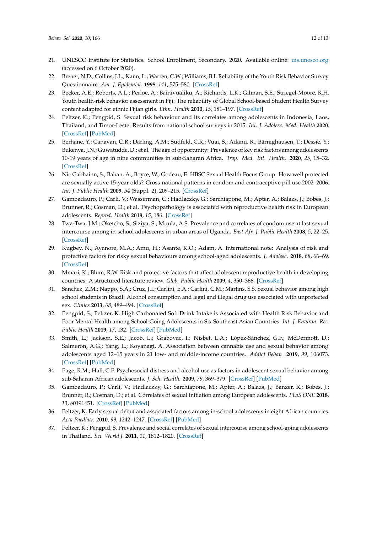- <span id="page-11-0"></span>21. UNESCO Institute for Statistics. School Enrollment, Secondary. 2020. Available online: <uis.unesco.org> (accessed on 6 October 2020).
- <span id="page-11-1"></span>22. Brener, N.D.; Collins, J.L.; Kann, L.; Warren, C.W.; Williams, B.I. Reliability of the Youth Risk Behavior Survey Questionnaire. *Am. J. Epidemiol.* **1995**, *141*, 575–580. [\[CrossRef\]](http://dx.doi.org/10.1093/oxfordjournals.aje.a117473)
- <span id="page-11-2"></span>23. Becker, A.E.; Roberts, A.L.; Perloe, A.; Bainivualiku, A.; Richards, L.K.; Gilman, S.E.; Striegel-Moore, R.H. Youth health-risk behavior assessment in Fiji: The reliability of Global School-based Student Health Survey content adapted for ethnic Fijian girls. *Ethn. Health* **2010**, *15*, 181–197. [\[CrossRef\]](http://dx.doi.org/10.1080/13557851003615552)
- <span id="page-11-3"></span>24. Peltzer, K.; Pengpid, S. Sexual risk behaviour and its correlates among adolescents in Indonesia, Laos, Thailand, and Timor-Leste: Results from national school surveys in 2015. *Int. J. Adolesc. Med. Health* **2020**. [\[CrossRef\]](http://dx.doi.org/10.1515/ijamh-2019-0230) [\[PubMed\]](http://www.ncbi.nlm.nih.gov/pubmed/32549165)
- <span id="page-11-4"></span>25. Berhane, Y.; Canavan, C.R.; Darling, A.M.; Sudfeld, C.R.; Vuai, S.; Adanu, R.; Bärnighausen, T.; Dessie, Y.; Bukenya, J.N.; Guwatudde, D.; et al. The age of opportunity: Prevalence of key risk factors among adolescents 10-19 years of age in nine communities in sub-Saharan Africa. *Trop. Med. Int. Health.* **2020**, *25*, 15–32. [\[CrossRef\]](http://dx.doi.org/10.1111/tmi.13339)
- <span id="page-11-5"></span>26. Nic Gabhainn, S.; Baban, A.; Boyce, W.; Godeau, E. HBSC Sexual Health Focus Group. How well protected are sexually active 15-year olds? Cross-national patterns in condom and contraceptive pill use 2002–2006. *Int. J. Public Health* **2009**, *54* (Suppl. 2), 209–215. [\[CrossRef\]](http://dx.doi.org/10.1007/s00038-009-5412-x)
- <span id="page-11-6"></span>27. Gambadauro, P.; Carli, V.; Wasserman, C.; Hadlaczky, G.; Sarchiapone, M.; Apter, A.; Balazs, J.; Bobes, J.; Brunner, R.; Cosman, D.; et al. Psychopathology is associated with reproductive health risk in European adolescents. *Reprod. Health* **2018**, *15*, 186. [\[CrossRef\]](http://dx.doi.org/10.1186/s12978-018-0618-0)
- <span id="page-11-7"></span>28. Twa-Twa, J.M.; Oketcho, S.; Siziya, S.; Muula, A.S. Prevalence and correlates of condom use at last sexual intercourse among in-school adolescents in urban areas of Uganda. *East Afr. J. Public Health* **2008**, *5*, 22–25. [\[CrossRef\]](http://dx.doi.org/10.4314/eajph.v5i1.38972)
- <span id="page-11-8"></span>29. Kugbey, N.; Ayanore, M.A.; Amu, H.; Asante, K.O.; Adam, A. International note: Analysis of risk and protective factors for risky sexual behaviours among school-aged adolescents. *J. Adolesc.* **2018**, *68*, 66–69. [\[CrossRef\]](http://dx.doi.org/10.1016/j.adolescence.2018.06.013)
- <span id="page-11-9"></span>30. Mmari, K.; Blum, R.W. Risk and protective factors that affect adolescent reproductive health in developing countries: A structured literature review. *Glob. Public Health* **2009**, *4*, 350–366. [\[CrossRef\]](http://dx.doi.org/10.1080/17441690701664418)
- <span id="page-11-10"></span>31. Sanchez, Z.M.; Nappo, S.A.; Cruz, J.I.; Carlini, E.A.; Carlini, C.M.; Martins, S.S. Sexual behavior among high school students in Brazil: Alcohol consumption and legal and illegal drug use associated with unprotected sex. *Clinics* **2013**, *68*, 489–494. [\[CrossRef\]](http://dx.doi.org/10.6061/clinics/2013(04)09)
- <span id="page-11-11"></span>32. Pengpid, S.; Peltzer, K. High Carbonated Soft Drink Intake is Associated with Health Risk Behavior and Poor Mental Health among School-Going Adolescents in Six Southeast Asian Countries. *Int. J. Environ. Res. Public Health* **2019**, *17*, 132. [\[CrossRef\]](http://dx.doi.org/10.3390/ijerph17010132) [\[PubMed\]](http://www.ncbi.nlm.nih.gov/pubmed/31878104)
- <span id="page-11-12"></span>33. Smith, L.; Jackson, S.E.; Jacob, L.; Grabovac, I.; Nisbet, L.A.; López-Sánchez, G.F.; McDermott, D.; Salmeron, A.G.; Yang, L.; Koyanagi, A. Association between cannabis use and sexual behavior among adolescents aged 12–15 years in 21 low- and middle-income countries. *Addict Behav.* **2019**, *99*, 106073. [\[CrossRef\]](http://dx.doi.org/10.1016/j.addbeh.2019.106073) [\[PubMed\]](http://www.ncbi.nlm.nih.gov/pubmed/31421584)
- <span id="page-11-13"></span>34. Page, R.M.; Hall, C.P. Psychosocial distress and alcohol use as factors in adolescent sexual behavior among sub-Saharan African adolescents. *J. Sch. Health.* **2009**, *79*, 369–379. [\[CrossRef\]](http://dx.doi.org/10.1111/j.1746-1561.2009.00423.x) [\[PubMed\]](http://www.ncbi.nlm.nih.gov/pubmed/19630871)
- 35. Gambadauro, P.; Carli, V.; Hadlaczky, G.; Sarchiapone, M.; Apter, A.; Balazs, J.; Banzer, R.; Bobes, J.; Brunner, R.; Cosman, D.; et al. Correlates of sexual initiation among European adolescents. *PLoS ONE* **2018**, *13*, e0191451. [\[CrossRef\]](http://dx.doi.org/10.1371/journal.pone.0191451) [\[PubMed\]](http://www.ncbi.nlm.nih.gov/pubmed/29420612)
- <span id="page-11-14"></span>36. Peltzer, K. Early sexual debut and associated factors among in-school adolescents in eight African countries. *Acta Paediatr.* **2010**, *99*, 1242–1247. [\[CrossRef\]](http://dx.doi.org/10.1111/j.1651-2227.2010.01874.x) [\[PubMed\]](http://www.ncbi.nlm.nih.gov/pubmed/20491706)
- <span id="page-11-15"></span>37. Peltzer, K.; Pengpid, S. Prevalence and social correlates of sexual intercourse among school-going adolescents in Thailand. *Sci. World J.* **2011**, *11*, 1812–1820. [\[CrossRef\]](http://dx.doi.org/10.1100/2011/532109)